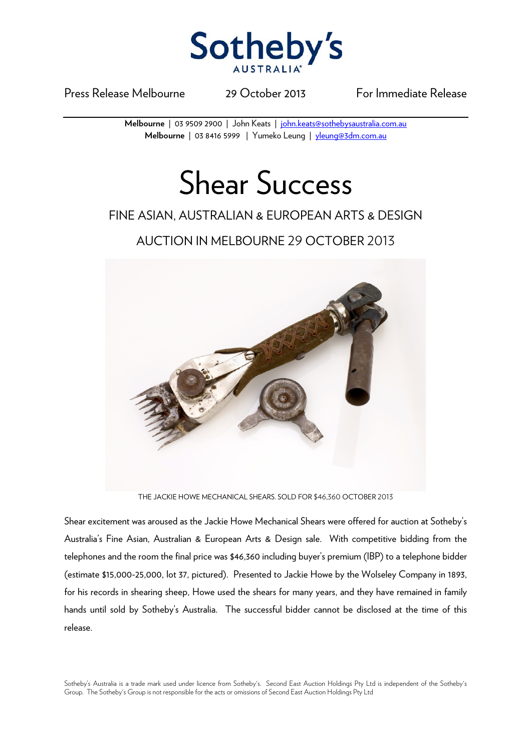

Press Release Melbourne 29 October 2013 For Immediate Release

**Melbourne** | 03 9509 2900 | John Keats | john.keats@sothebysaustralia.com.au **Melbourne** | 03 8416 5999 | Yumeko Leung | yleung@3dm.com.au

## Shear Success

## FINE ASIAN, AUSTRALIAN & EUROPEAN ARTS & DESIGN

AUCTION IN MELBOURNE 29 OCTOBER 2013



THE JACKIE HOWE MECHANICAL SHEARS. SOLD FOR \$46,360 OCTOBER 2013

Shear excitement was aroused as the Jackie Howe Mechanical Shears were offered for auction at Sotheby's Australia's Fine Asian, Australian & European Arts & Design sale. With competitive bidding from the telephones and the room the final price was \$46,360 including buyer's premium (IBP) to a telephone bidder (estimate \$15,000-25,000, lot 37, pictured). Presented to Jackie Howe by the Wolseley Company in 1893, for his records in shearing sheep, Howe used the shears for many years, and they have remained in family hands until sold by Sotheby's Australia. The successful bidder cannot be disclosed at the time of this release.